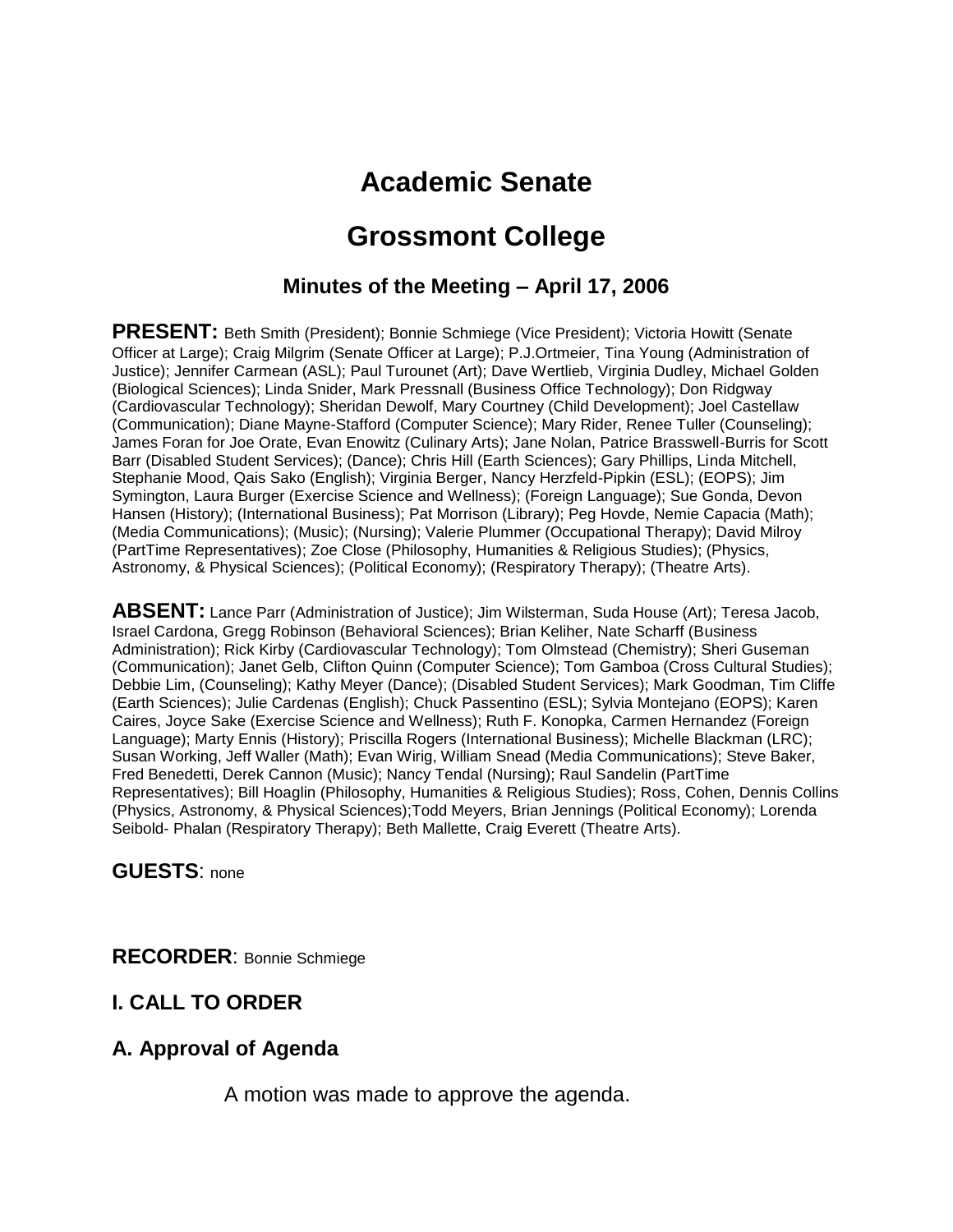# **Academic Senate**

# **Grossmont College**

## **Minutes of the Meeting – April 17, 2006**

**PRESENT:** Beth Smith (President); Bonnie Schmiege (Vice President); Victoria Howitt (Senate Officer at Large); Craig Milgrim (Senate Officer at Large); P.J.Ortmeier, Tina Young (Administration of Justice); Jennifer Carmean (ASL); Paul Turounet (Art); Dave Wertlieb, Virginia Dudley, Michael Golden (Biological Sciences); Linda Snider, Mark Pressnall (Business Office Technology); Don Ridgway (Cardiovascular Technology); Sheridan Dewolf, Mary Courtney (Child Development); Joel Castellaw (Communication); Diane Mayne-Stafford (Computer Science); Mary Rider, Renee Tuller (Counseling); James Foran for Joe Orate, Evan Enowitz (Culinary Arts); Jane Nolan, Patrice Brasswell-Burris for Scott Barr (Disabled Student Services); (Dance); Chris Hill (Earth Sciences); Gary Phillips, Linda Mitchell, Stephanie Mood, Qais Sako (English); Virginia Berger, Nancy Herzfeld-Pipkin (ESL); (EOPS); Jim Symington, Laura Burger (Exercise Science and Wellness); (Foreign Language); Sue Gonda, Devon Hansen (History); (International Business); Pat Morrison (Library); Peg Hovde, Nemie Capacia (Math); (Media Communications); (Music); (Nursing); Valerie Plummer (Occupational Therapy); David Milroy (PartTime Representatives); Zoe Close (Philosophy, Humanities & Religious Studies); (Physics, Astronomy, & Physical Sciences); (Political Economy); (Respiratory Therapy); (Theatre Arts).

**ABSENT:** Lance Parr (Administration of Justice); Jim Wilsterman, Suda House (Art); Teresa Jacob, Israel Cardona, Gregg Robinson (Behavioral Sciences); Brian Keliher, Nate Scharff (Business Administration); Rick Kirby (Cardiovascular Technology); Tom Olmstead (Chemistry); Sheri Guseman (Communication); Janet Gelb, Clifton Quinn (Computer Science); Tom Gamboa (Cross Cultural Studies); Debbie Lim, (Counseling); Kathy Meyer (Dance); (Disabled Student Services); Mark Goodman, Tim Cliffe (Earth Sciences); Julie Cardenas (English); Chuck Passentino (ESL); Sylvia Montejano (EOPS); Karen Caires, Joyce Sake (Exercise Science and Wellness); Ruth F. Konopka, Carmen Hernandez (Foreign Language); Marty Ennis (History); Priscilla Rogers (International Business); Michelle Blackman (LRC); Susan Working, Jeff Waller (Math); Evan Wirig, William Snead (Media Communications); Steve Baker, Fred Benedetti, Derek Cannon (Music); Nancy Tendal (Nursing); Raul Sandelin (PartTime Representatives); Bill Hoaglin (Philosophy, Humanities & Religious Studies); Ross, Cohen, Dennis Collins (Physics, Astronomy, & Physical Sciences);Todd Meyers, Brian Jennings (Political Economy); Lorenda Seibold- Phalan (Respiratory Therapy); Beth Mallette, Craig Everett (Theatre Arts).

**GUESTS**: none

**RECORDER**: Bonnie Schmiege

## **I. CALL TO ORDER**

#### **A. Approval of Agenda**

A motion was made to approve the agenda.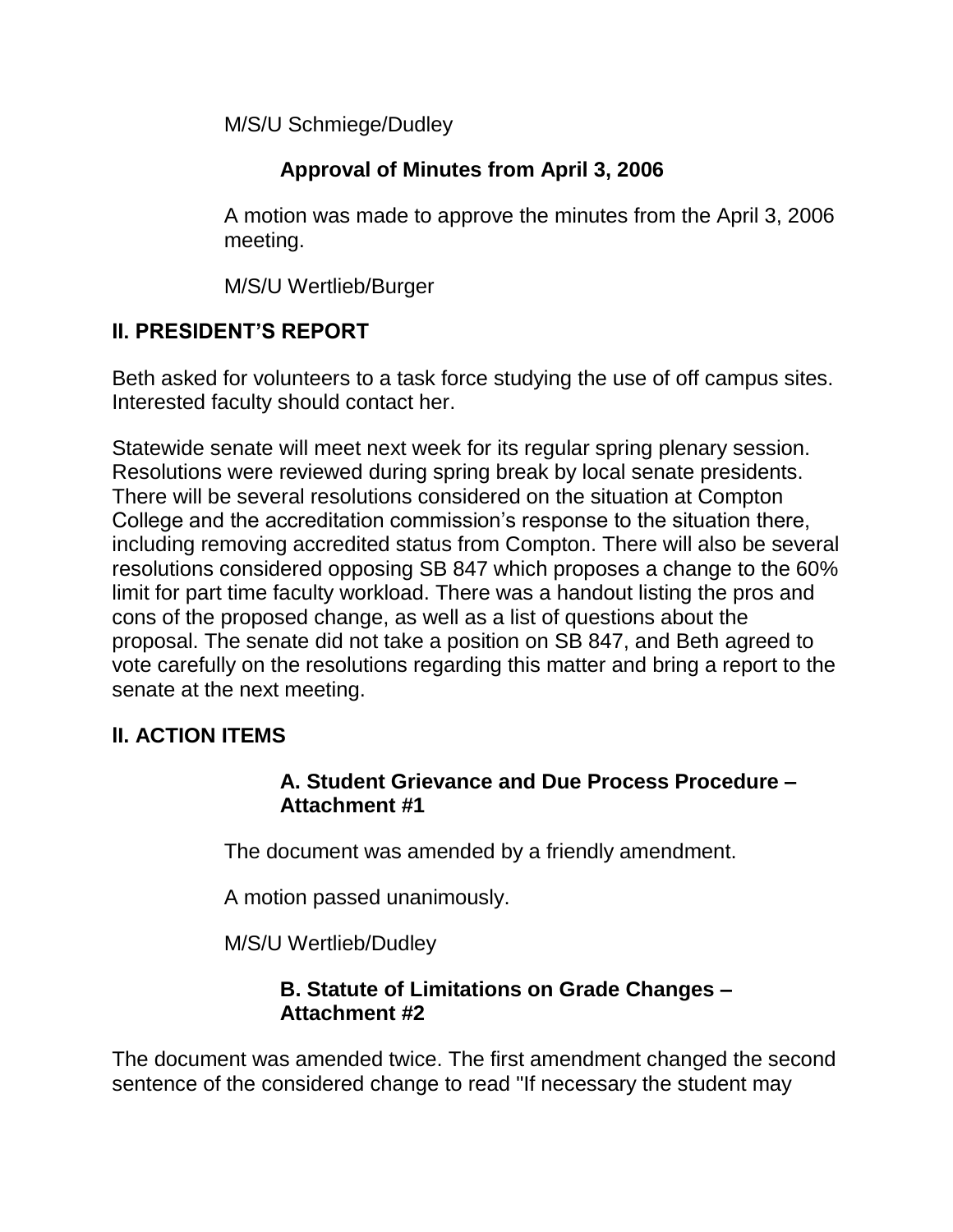M/S/U Schmiege/Dudley

# **Approval of Minutes from April 3, 2006**

A motion was made to approve the minutes from the April 3, 2006 meeting.

M/S/U Wertlieb/Burger

# **II. PRESIDENT'S REPORT**

Beth asked for volunteers to a task force studying the use of off campus sites. Interested faculty should contact her.

Statewide senate will meet next week for its regular spring plenary session. Resolutions were reviewed during spring break by local senate presidents. There will be several resolutions considered on the situation at Compton College and the accreditation commission's response to the situation there, including removing accredited status from Compton. There will also be several resolutions considered opposing SB 847 which proposes a change to the 60% limit for part time faculty workload. There was a handout listing the pros and cons of the proposed change, as well as a list of questions about the proposal. The senate did not take a position on SB 847, and Beth agreed to vote carefully on the resolutions regarding this matter and bring a report to the senate at the next meeting.

## **lI. ACTION ITEMS**

## **A. Student Grievance and Due Process Procedure – Attachment #1**

The document was amended by a friendly amendment.

A motion passed unanimously.

M/S/U Wertlieb/Dudley

## **B. Statute of Limitations on Grade Changes – Attachment #2**

The document was amended twice. The first amendment changed the second sentence of the considered change to read "If necessary the student may